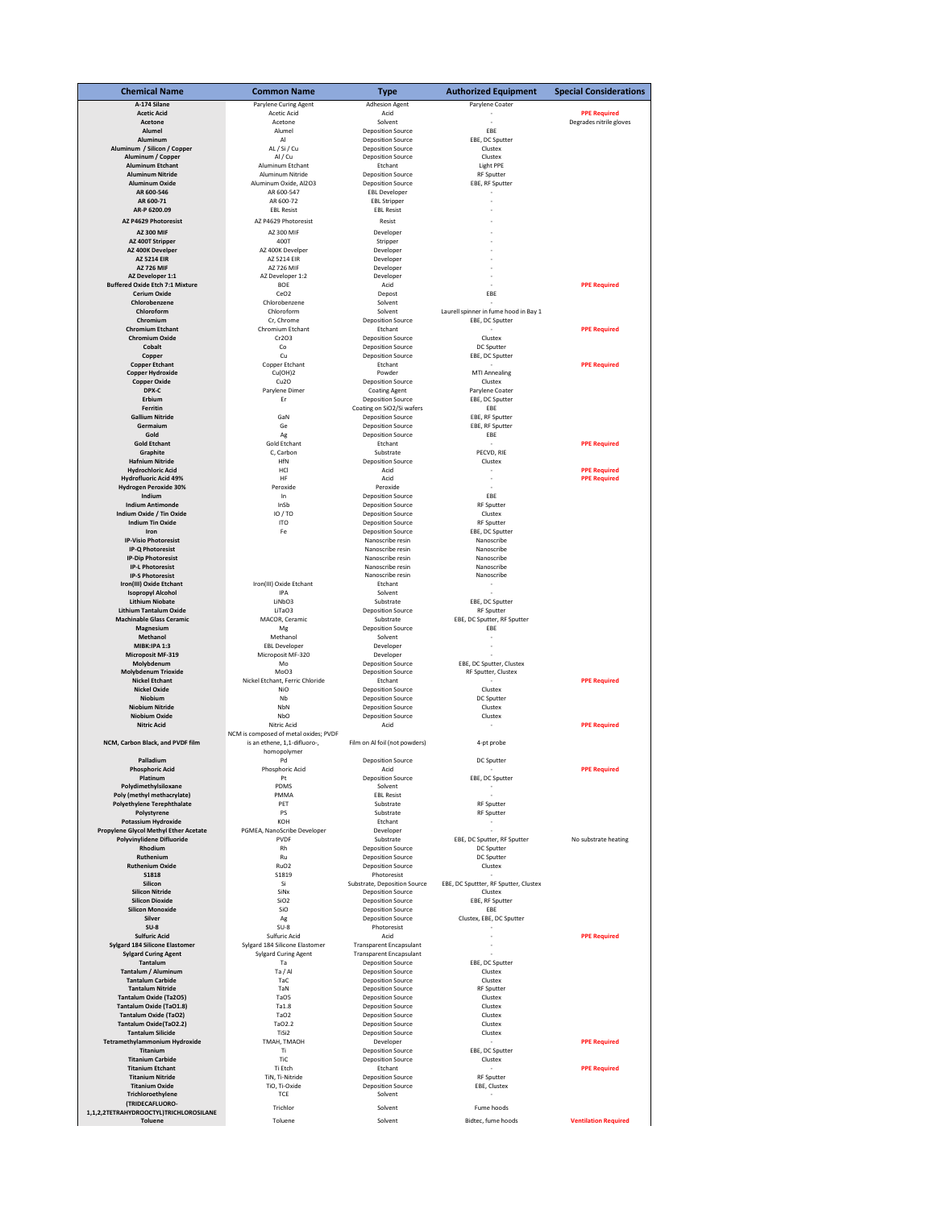| <b>Chemical Name</b>                                               | <b>Common Name</b>                      | Type                                                       | <b>Authorized Equipment</b>           | <b>Special Considerations</b>                  |
|--------------------------------------------------------------------|-----------------------------------------|------------------------------------------------------------|---------------------------------------|------------------------------------------------|
| A-174 Silane                                                       | Parylene Curing Agent                   | <b>Adhesion Agent</b>                                      | Parylene Coater                       |                                                |
| <b>Acetic Acid</b><br>Acetone                                      | Acetic Acid<br>Acetone                  | Acid<br>Solvent                                            |                                       | <b>PPE Required</b><br>Degrades nitrile gloves |
| Alumel                                                             | Alumel                                  | <b>Deposition Source</b>                                   | FBF                                   |                                                |
| Aluminum                                                           | Al                                      | <b>Deposition Source</b>                                   | EBE, DC Sputter                       |                                                |
| Aluminum / Silicon / Copper<br>Aluminum / Copper                   | AL / Si / Cu<br>Al / Cu                 | <b>Deposition Source</b><br><b>Deposition Source</b>       | Clustex<br>Clustex                    |                                                |
| <b>Aluminum Etchant</b>                                            | Aluminum Etchant                        | Etchant                                                    | Light PPE                             |                                                |
| <b>Aluminum Nitride</b>                                            | Aluminum Nitride                        | <b>Deposition Source</b>                                   | <b>RF</b> Sputter                     |                                                |
| Aluminum Oxide                                                     | Aluminum Oxide, Al2O3                   | <b>Deposition Source</b>                                   | EBE, RF Sputter                       |                                                |
| AR 600-546<br>AR 600-71                                            | AR 600-547<br>AR 600-72                 | <b>EBL Developer</b><br><b>EBL Stripper</b>                |                                       |                                                |
| AR-P 6200.09                                                       | <b>EBL Resist</b>                       | <b>EBL Resist</b>                                          |                                       |                                                |
| AZ P4629 Photoresist                                               | AZ P4629 Photoresist                    | Resist                                                     |                                       |                                                |
| <b>AZ 300 MIF</b>                                                  | AZ 300 MIF                              | Developer                                                  |                                       |                                                |
| AZ 400T Stripper                                                   | 400T                                    | Stripper                                                   |                                       |                                                |
| AZ 400K Develper<br><b>AZ 5214 EIR</b>                             | AZ 400K Develper<br>AZ 5214 EIR         | Developer<br>Developer                                     |                                       |                                                |
| <b>AZ 726 MIF</b>                                                  | <b>AZ 726 MIF</b>                       | Developer                                                  |                                       |                                                |
| AZ Developer 1:1                                                   | AZ Developer 1:2                        | Developer                                                  |                                       |                                                |
| <b>Buffered Oxide Etch 7:1 Mixture</b>                             | BOE                                     | Acid                                                       |                                       | <b>PPE Required</b>                            |
| <b>Cerium Oxide</b><br>Chlorobenzene                               | CeO <sub>2</sub><br>Chlorobenzene       | Depost<br>Solvent                                          | EBE                                   |                                                |
| Chloroform                                                         | Chloroform                              | Solvent                                                    | Laurell spinner in fume hood in Bay 1 |                                                |
| Chromium                                                           | Cr, Chrome                              | <b>Deposition Source</b>                                   | EBE, DC Sputter                       |                                                |
| <b>Chromium Etchant</b>                                            | Chromium Etchant                        | Etchant                                                    |                                       | <b>PPE Required</b>                            |
| <b>Chromium Oxide</b><br>Cobalt                                    | Cr2O3<br>Co                             | <b>Deposition Source</b><br><b>Deposition Source</b>       | Clustex<br>DC Sputter                 |                                                |
| Copper                                                             | Cu                                      | <b>Deposition Source</b>                                   | EBE, DC Sputter                       |                                                |
| <b>Copper Etchant</b>                                              | Copper Etchant                          | Etchant                                                    |                                       | <b>PPE Required</b>                            |
| <b>Copper Hydroxide</b>                                            | Cu(OH)2                                 | Powder                                                     | <b>MTI Annealing</b>                  |                                                |
| <b>Copper Oxide</b><br>DPX-C                                       | Cu2O<br>Parylene Dimer                  | <b>Deposition Source</b><br><b>Coating Agent</b>           | Clustex<br>Parylene Coater            |                                                |
| Erbium                                                             | Er                                      | <b>Deposition Source</b>                                   | EBE, DC Sputter                       |                                                |
| Ferritin                                                           |                                         | Coating on SiO2/Si wafers                                  | EBE                                   |                                                |
| <b>Gallium Nitride</b><br>Germaium                                 | GaN<br>Ge                               | <b>Deposition Source</b>                                   | EBE, RF Sputter<br>EBE, RF Sputter    |                                                |
| Gold                                                               | Ag                                      | <b>Deposition Source</b><br><b>Deposition Source</b>       | EBE                                   |                                                |
| <b>Gold Etchant</b>                                                | <b>Gold Etchant</b>                     | Etchant                                                    |                                       | <b>PPE Required</b>                            |
| Graphite                                                           | C, Carbon                               | Substrate                                                  | PECVD, RIE                            |                                                |
| <b>Hafnium Nitride</b><br><b>Hydrochloric Acid</b>                 | HfN<br>HCI                              | <b>Deposition Source</b><br>Acid                           | Clustex                               | <b>PPE Required</b>                            |
| <b>Hydrofluoric Acid 49%</b>                                       | HF                                      | Acid                                                       |                                       | <b>PPE Required</b>                            |
| <b>Hydrogen Peroxide 30%</b>                                       | Peroxide                                | Peroxide                                                   |                                       |                                                |
| Indium                                                             | In                                      | <b>Deposition Source</b>                                   | EBE                                   |                                                |
| <b>Indium Antimonde</b><br>Indium Oxide / Tin Oxide                | InSb<br>IO/TO                           | <b>Deposition Source</b><br><b>Deposition Source</b>       | <b>RF</b> Sputter<br>Clustex          |                                                |
| <b>Indium Tin Oxide</b>                                            | <b>ITO</b>                              | <b>Deposition Source</b>                                   | <b>RF</b> Sputter                     |                                                |
| Iron                                                               | Fe                                      | <b>Deposition Source</b>                                   | EBE, DC Sputter                       |                                                |
| <b>IP-Visio Photoresist</b><br><b>IP-Q Photoresist</b>             |                                         | Nanoscribe resin<br>Nanoscribe resin                       | Nanoscribe<br>Nanoscribe              |                                                |
| <b>IP-Dip Photoresist</b>                                          |                                         | Nanoscribe resin                                           | Nanoscribe                            |                                                |
| <b>IP-L Photoresist</b>                                            |                                         | Nanoscribe resin                                           | Nanoscribe                            |                                                |
| <b>IP-S Photoresist</b>                                            |                                         | Nanoscribe resin                                           | Nanoscribe                            |                                                |
| Iron(III) Oxide Etchant<br><b>Isopropyl Alcohol</b>                | Iron(III) Oxide Etchant<br>IPA          | Etchant<br>Solvent                                         |                                       |                                                |
| <b>Lithium Niobate</b>                                             | LiNbO3                                  | Substrate                                                  | EBE, DC Sputter                       |                                                |
| <b>Lithium Tantalum Oxide</b>                                      | LiTaO3                                  | <b>Deposition Source</b>                                   | <b>RF Sputter</b>                     |                                                |
| <b>Machinable Glass Ceramic</b>                                    | MACOR, Ceramic                          | Substrate                                                  | EBE, DC Sputter, RF Sputter           |                                                |
| Magnesium<br>Methanol                                              | Mg<br>Methanol                          | <b>Deposition Source</b><br>Solvent                        | EBE<br>٠                              |                                                |
| <b>MIBK:IPA 1:3</b>                                                | <b>EBL Developer</b>                    | Developer                                                  |                                       |                                                |
| Microposit MF-319                                                  | Microposit MF-320                       | Developer                                                  |                                       |                                                |
| Molybdenum                                                         | Mo                                      | <b>Deposition Source</b>                                   | EBE, DC Sputter, Clustex              |                                                |
| <b>Molybdenum Trioxide</b><br><b>Nickel Etchant</b>                | MoO3<br>Nickel Etchant, Ferric Chloride | <b>Deposition Source</b><br>Etchant                        | RF Sputter, Clustex                   | <b>PPE Required</b>                            |
| <b>Nickel Oxide</b>                                                | <b>NiO</b>                              | <b>Deposition Source</b>                                   | Clustex                               |                                                |
| Niobium                                                            | Nh                                      | <b>Deposition Source</b>                                   | DC Sputter                            |                                                |
| <b>Niobium Nitride</b><br>Niobium Oxide                            | NbN<br><b>N<sub>b</sub></b>             | <b>Deposition Source</b><br><b>Deposition Source</b>       | Clustex<br>Clustex                    |                                                |
| <b>Nitric Acid</b>                                                 | Nitric Acid                             | Acid                                                       |                                       | <b>PPE Required</b>                            |
|                                                                    | NCM is composed of metal oxides; PVDF   |                                                            |                                       |                                                |
| NCM, Carbon Black, and PVDF film                                   | is an ethene, 1,1-difluoro-,            | Film on Al foil (not powders)                              | 4-pt probe                            |                                                |
| Palladium                                                          | homopolymer<br>Pd                       | <b>Deposition Source</b>                                   | DC Sputter                            |                                                |
| <b>Phosphoric Acid</b>                                             | Phosphoric Acid                         | Acid                                                       |                                       | <b>PPE Required</b>                            |
| Platinum                                                           | Pt                                      | <b>Deposition Source</b>                                   | EBE, DC Sputter                       |                                                |
| Polydimethylsiloxane                                               | PDMS                                    | Solvent                                                    |                                       |                                                |
| Poly (methyl methacrylate)<br><b>Polyethylene Terephthalate</b>    | PMMA<br>PET                             | <b>EBL Resist</b><br>Substrate                             | <b>RF</b> Sputter                     |                                                |
| Polystyrene                                                        | PS                                      | Substrate                                                  | <b>RF</b> Sputter                     |                                                |
| <b>Potassium Hydroxide</b>                                         | KOH                                     | Etchant                                                    |                                       |                                                |
| Propylene Glycol Methyl Ether Acetate<br>Polyvinylidene Difluoride | PGMEA, NanoScribe Developer<br>PVDF     | Developer<br>Substrate                                     | EBE, DC Sputter, RF Sputter           | No substrate heating                           |
| Rhodium                                                            | Rh                                      | <b>Deposition Source</b>                                   | DC Sputter                            |                                                |
| Ruthenium                                                          | Ru                                      | <b>Deposition Source</b>                                   | DC Sputter                            |                                                |
| <b>Ruthenium Oxide</b>                                             | RuO <sub>2</sub>                        | <b>Deposition Source</b>                                   | Clustex                               |                                                |
| <b>S1818</b><br>Silicon                                            | S1819<br>Si                             | Photoresist<br>Substrate, Deposition Source                | EBE, DC Sputtter, RF Sputter, Clustex |                                                |
| <b>Silicon Nitride</b>                                             | SiNx                                    | <b>Deposition Source</b>                                   | Clustex                               |                                                |
| <b>Silicon Dioxide</b>                                             | SiO <sub>2</sub>                        | <b>Deposition Source</b>                                   | EBE, RF Sputter                       |                                                |
| <b>Silicon Monoxide</b><br>Silver                                  | SiO                                     | <b>Deposition Source</b>                                   | EBE                                   |                                                |
| $SU-8$                                                             | Ag<br>$SU-8$                            | <b>Deposition Source</b><br>Photoresist                    | Clustex, EBE, DC Sputter              |                                                |
| <b>Sulfuric Acid</b>                                               | Sulfuric Acid                           | Acid                                                       |                                       | <b>PPE Required</b>                            |
| <b>Sylgard 184 Silicone Elastomer</b>                              | Sylgard 184 Silicone Elastomer          | <b>Transparent Encapsulant</b>                             |                                       |                                                |
| <b>Sylgard Curing Agent</b><br>Tantalum                            | <b>Sylgard Curing Agent</b><br>Ta       | <b>Transparent Encapsulant</b><br><b>Deposition Source</b> | EBE, DC Sputter                       |                                                |
| Tantalum / Aluminum                                                | Ta / Al                                 | <b>Deposition Source</b>                                   | Clustex                               |                                                |
| <b>Tantalum Carbide</b>                                            | TaC                                     | <b>Deposition Source</b>                                   | Clustex                               |                                                |
| <b>Tantalum Nitride</b>                                            | TaN                                     | <b>Deposition Source</b>                                   | <b>RF Sputter</b>                     |                                                |
| <b>Tantalum Oxide (Ta2O5)</b><br>Tantalum Oxide (TaO1.8)           | TaO5<br>Ta1.8                           | <b>Deposition Source</b><br><b>Deposition Source</b>       | Clustex<br>Clustex                    |                                                |
| <b>Tantalum Oxide (TaO2)</b>                                       | TaO2                                    | <b>Deposition Source</b>                                   | Clustex                               |                                                |
| Tantalum Oxide(TaO2.2)                                             | TaO2.2                                  | <b>Deposition Source</b>                                   | Clustex                               |                                                |
| <b>Tantalum Silicide</b>                                           | TiSi2                                   | <b>Deposition Source</b>                                   | Clustex                               |                                                |
| Tetramethylammonium Hydroxide<br>Titanium                          | TMAH, TMAOH<br>Ti                       | Developer<br><b>Deposition Source</b>                      | EBE, DC Sputter                       | <b>PPE Required</b>                            |
| <b>Titanium Carbide</b>                                            | TiC                                     | <b>Deposition Source</b>                                   | Clustex                               |                                                |
| <b>Titanium Etchant</b>                                            | Ti Etch                                 | Etchant                                                    |                                       | <b>PPE Required</b>                            |
| <b>Titanium Nitride</b>                                            | TiN, Ti-Nitride                         | <b>Deposition Source</b>                                   | <b>RF</b> Sputter                     |                                                |
| <b>Titanium Oxide</b><br>Trichloroethylene                         | TiO, Ti-Oxide<br>TCE                    | <b>Deposition Source</b><br>Solvent                        | EBE, Clustex                          |                                                |
| (TRIDECAFLUORO-                                                    |                                         |                                                            |                                       |                                                |
| 1,1,2,2TETRAHYDROOCTYL)TRICHLOROSILANE                             | Trichlor                                | Solvent                                                    | Fume hoods                            |                                                |
| <b>Toluene</b>                                                     | Toluene                                 | Solvent                                                    | Bidtec, fume hoods                    | <b>Ventilation Required</b>                    |